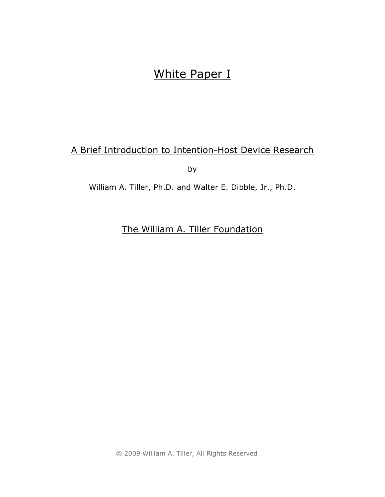# White Paper I

# A Brief Introduction to Intention-Host Device Research

by

William A. Tiller, Ph.D. and Walter E. Dibble, Jr., Ph.D.

The William A. Tiller Foundation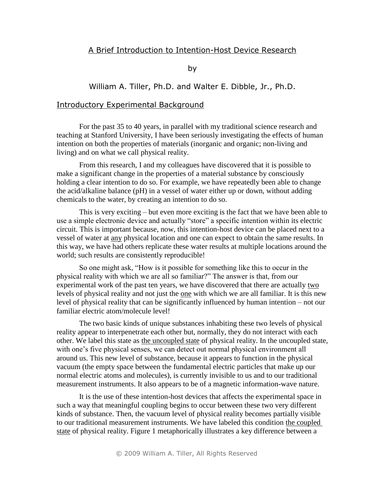#### A Brief Introduction to Intention-Host Device Research

by

#### William A. Tiller, Ph.D. and Walter E. Dibble, Jr., Ph.D.

#### Introductory Experimental Background

For the past 35 to 40 years, in parallel with my traditional science research and teaching at Stanford University, I have been seriously investigating the effects of human intention on both the properties of materials (inorganic and organic; non-living and living) and on what we call physical reality.

From this research, I and my colleagues have discovered that it is possible to make a significant change in the properties of a material substance by consciously holding a clear intention to do so. For example, we have repeatedly been able to change the acid/alkaline balance (pH) in a vessel of water either up or down, without adding chemicals to the water, by creating an intention to do so.

This is very exciting – but even more exciting is the fact that we have been able to use a simple electronic device and actually "store" a specific intention within its electric circuit. This is important because, now, this intention-host device can be placed next to a vessel of water at any physical location and one can expect to obtain the same results. In this way, we have had others replicate these water results at multiple locations around the world; such results are consistently reproducible!

So one might ask, "How is it possible for something like this to occur in the physical reality with which we are all so familiar?" The answer is that, from our experimental work of the past ten years, we have discovered that there are actually two levels of physical reality and not just the one with which we are all familiar. It is this new level of physical reality that can be significantly influenced by human intention – not our familiar electric atom/molecule level!

The two basic kinds of unique substances inhabiting these two levels of physical reality appear to interpenetrate each other but, normally, they do not interact with each other. We label this state as the uncoupled state of physical reality. In the uncoupled state, with one's five physical senses, we can detect out normal physical environment all around us. This new level of substance, because it appears to function in the physical vacuum (the empty space between the fundamental electric particles that make up our normal electric atoms and molecules), is currently invisible to us and to our traditional measurement instruments. It also appears to be of a magnetic information-wave nature.

It is the use of these intention-host devices that affects the experimental space in such a way that meaningful coupling begins to occur between these two very different kinds of substance. Then, the vacuum level of physical reality becomes partially visible to our traditional measurement instruments. We have labeled this condition the coupled state of physical reality. Figure 1 metaphorically illustrates a key difference between a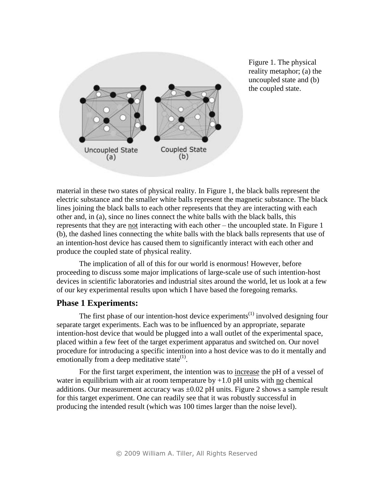

Figure 1. The physical reality metaphor; (a) the uncoupled state and (b) the coupled state.

material in these two states of physical reality. In Figure 1, the black balls represent the electric substance and the smaller white balls represent the magnetic substance. The black lines joining the black balls to each other represents that they are interacting with each other and, in (a), since no lines connect the white balls with the black balls, this represents that they are not interacting with each other – the uncoupled state. In Figure 1 (b), the dashed lines connecting the white balls with the black balls represents that use of an intention-host device has caused them to significantly interact with each other and produce the coupled state of physical reality.

The implication of all of this for our world is enormous! However, before proceeding to discuss some major implications of large-scale use of such intention-host devices in scientific laboratories and industrial sites around the world, let us look at a few of our key experimental results upon which I have based the foregoing remarks.

## **Phase 1 Experiments:**

The first phase of our intention-host device experiments<sup> $(1)$ </sup> involved designing four separate target experiments. Each was to be influenced by an appropriate, separate intention-host device that would be plugged into a wall outlet of the experimental space, placed within a few feet of the target experiment apparatus and switched on. Our novel procedure for introducing a specific intention into a host device was to do it mentally and emotionally from a deep meditative state $^{(1)}$ .

For the first target experiment, the intention was to increase the pH of a vessel of water in equilibrium with air at room temperature by  $+1.0$  pH units with no chemical additions. Our measurement accuracy was  $\pm 0.02$  pH units. Figure 2 shows a sample result for this target experiment. One can readily see that it was robustly successful in producing the intended result (which was 100 times larger than the noise level).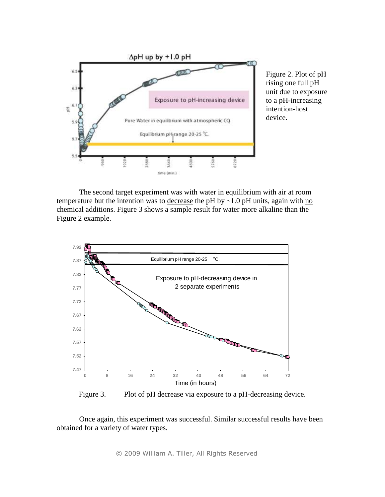

Figure 2. Plot of pH rising one full pH unit due to exposure to a pH-increasing intention-host device.

The second target experiment was with water in equilibrium with air at room temperature but the intention was to decrease the pH by  $\sim$  1.0 pH units, again with no chemical additions. Figure 3 shows a sample result for water more alkaline than the Figure 2 example.



Figure 3. Plot of pH decrease via exposure to a pH-decreasing device.

Once again, this experiment was successful. Similar successful results have been obtained for a variety of water types.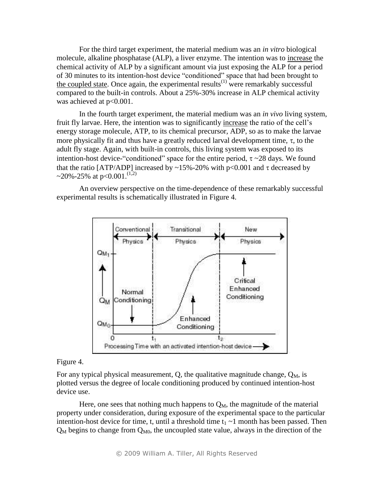For the third target experiment, the material medium was an *in vitro* biological molecule, alkaline phosphatase (ALP), a liver enzyme. The intention was to increase the chemical activity of ALP by a significant amount via just exposing the ALP for a period of 30 minutes to its intention-host device "conditioned" space that had been brought to the coupled state. Once again, the experimental results<sup> $(1)$ </sup> were remarkably successful compared to the built-in controls. About a 25%-30% increase in ALP chemical activity was achieved at  $p<0.001$ .

In the fourth target experiment, the material medium was an *in vivo* living system, fruit fly larvae. Here, the intention was to significantly increase the ratio of the cell's energy storage molecule, ATP, to its chemical precursor, ADP, so as to make the larvae more physically fit and thus have a greatly reduced larval development time,  $\tau$ , to the adult fly stage. Again, with built-in controls, this living system was exposed to its intention-host device-"conditioned" space for the entire period,  $\tau \sim 28$  days. We found that the ratio [ATP/ADP] increased by ~15%-20% with p<0.001 and  $\tau$  decreased by ~20%-25% at p<0.001.<sup>(1,2)</sup>

An overview perspective on the time-dependence of these remarkably successful experimental results is schematically illustrated in Figure 4.



Figure 4.

For any typical physical measurement, Q, the qualitative magnitude change,  $Q_M$ , is plotted versus the degree of locale conditioning produced by continued intention-host device use.

Here, one sees that nothing much happens to  $Q_M$ , the magnitude of the material property under consideration, during exposure of the experimental space to the particular intention-host device for time, t, until a threshold time  $t_1 \sim 1$  month has been passed. Then  $Q_M$  begins to change from  $Q_{M0}$ , the uncoupled state value, always in the direction of the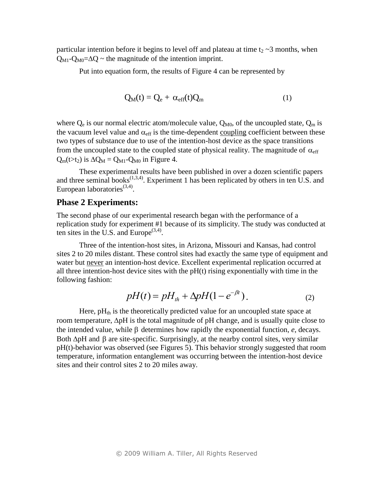particular intention before it begins to level off and plateau at time  $t_2 \sim 3$  months, when  $Q_{\text{M1}}$ - $Q_{\text{M0}} = \Delta Q$  ~ the magnitude of the intention imprint.

Put into equation form, the results of Figure 4 can be represented by

$$
Q_M(t) = Q_e + \alpha_{eff}(t)Q_m \tag{1}
$$

where  $Q_e$  is our normal electric atom/molecule value,  $Q_{M0}$ , of the uncoupled state,  $Q_m$  is the vacuum level value and  $\alpha_{\text{eff}}$  is the time-dependent coupling coefficient between these two types of substance due to use of the intention-host device as the space transitions from the uncoupled state to the coupled state of physical reality. The magnitude of  $\alpha_{\text{eff}}$  $Q_m(t>t_2)$  is  $\Delta Q_M = Q_{M1} - Q_{M0}$  in Figure 4.

These experimental results have been published in over a dozen scientific papers and three seminal books $^{(1,3,4)}$ . Experiment 1 has been replicated by others in ten U.S. and European laboratories<sup>(3,4)</sup>.

#### **Phase 2 Experiments:**

The second phase of our experimental research began with the performance of a replication study for experiment #1 because of its simplicity. The study was conducted at ten sites in the U.S. and Europe<sup> $(3,4)$ </sup>.

Three of the intention-host sites, in Arizona, Missouri and Kansas, had control sites 2 to 20 miles distant. These control sites had exactly the same type of equipment and water but never an intention-host device. Excellent experimental replication occurred at all three intention-host device sites with the  $pH(t)$  rising exponentially with time in the following fashion:

$$
pH(t) = pHth + \Delta pH(1 - e^{-\beta t}).
$$
\n(2)

Here,  $pH<sub>th</sub>$  is the theoretically predicted value for an uncoupled state space at room temperature,  $\Delta pH$  is the total magnitude of  $pH$  change, and is usually quite close to the intended value, while  $\beta$  determines how rapidly the exponential function,  $e$ , decays. Both  $\Delta p$ H and  $\beta$  are site-specific. Surprisingly, at the nearby control sites, very similar pH(t)-behavior was observed (see Figures 5). This behavior strongly suggested that room temperature, information entanglement was occurring between the intention-host device sites and their control sites 2 to 20 miles away.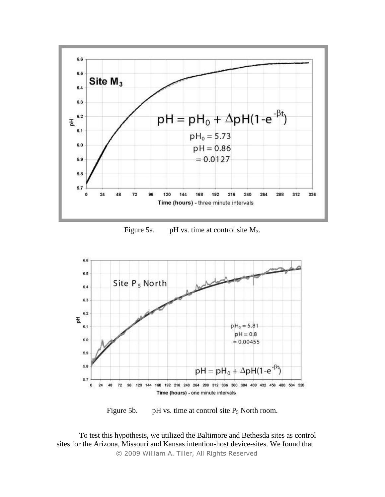

Figure 5a. pH vs. time at control site  $M_3$ .



Figure 5b. pH vs. time at control site  $P_5$  North room.

*©* 2009 William A. Tiller, All Rights Reserved To test this hypothesis, we utilized the Baltimore and Bethesda sites as control sites for the Arizona, Missouri and Kansas intention-host device-sites. We found that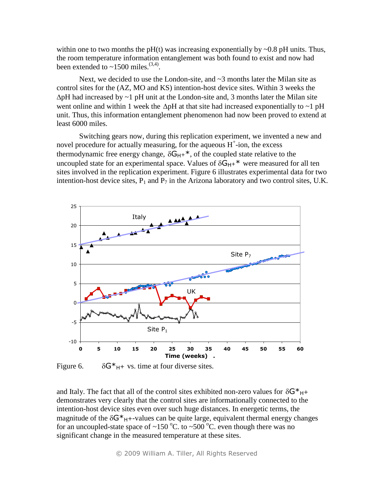within one to two months the  $pH(t)$  was increasing exponentially by  $\sim 0.8$  pH units. Thus, the room temperature information entanglement was both found to exist and now had been extended to  $\sim$ 1500 miles.<sup>(3,4)</sup>.

Next, we decided to use the London-site, and  $\sim$ 3 months later the Milan site as control sites for the (AZ, MO and KS) intention-host device sites. Within 3 weeks the  $\Delta$ pH had increased by  $\sim$ 1 pH unit at the London-site and, 3 months later the Milan site went online and within 1 week the  $\Delta pH$  at that site had increased exponentially to ~1 pH unit. Thus, this information entanglement phenomenon had now been proved to extend at least 6000 miles.

Switching gears now, during this replication experiment, we invented a new and novel procedure for actually measuring, for the aqueous  $H^+$ -ion, the excess thermodynamic free energy change,  $\delta G_{H+}^*$ , of the coupled state relative to the uncoupled state for an experimental space. Values of  $\delta G_{H+}^*$  were measured for all ten sites involved in the replication experiment. Figure 6 illustrates experimental data for two intention-host device sites,  $P_1$  and  $P_7$  in the Arizona laboratory and two control sites, U.K.



Figure 6.  $\delta G^*H + \nu s$ . time at four diverse sites.

and Italy. The fact that all of the control sites exhibited non-zero values for  $\delta G^*H^+$ demonstrates very clearly that the control sites are informationally connected to the intention-host device sites even over such huge distances. In energetic terms, the magnitude of the  $\delta G^*$ <sub>H</sub>+-values can be quite large, equivalent thermal energy changes for an uncoupled-state space of ~150 °C. to ~500 °C. even though there was no significant change in the measured temperature at these sites.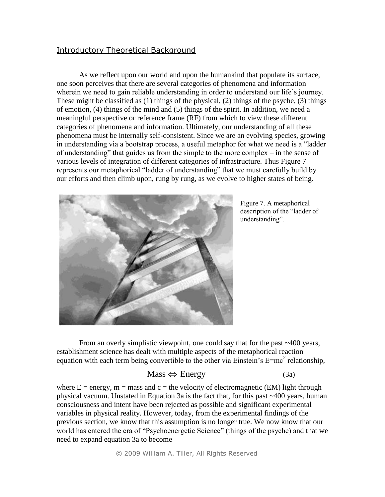### Introductory Theoretical Background

As we reflect upon our world and upon the humankind that populate its surface, one soon perceives that there are several categories of phenomena and information wherein we need to gain reliable understanding in order to understand our life's journey. These might be classified as (1) things of the physical, (2) things of the psyche, (3) things of emotion, (4) things of the mind and (5) things of the spirit. In addition, we need a meaningful perspective or reference frame (RF) from which to view these different categories of phenomena and information. Ultimately, our understanding of all these phenomena must be internally self-consistent. Since we are an evolving species, growing in understanding via a bootstrap process, a useful metaphor for what we need is a "ladder of understanding" that guides us from the simple to the more complex – in the sense of various levels of integration of different categories of infrastructure. Thus Figure 7 represents our metaphorical "ladder of understanding" that we must carefully build by our efforts and then climb upon, rung by rung, as we evolve to higher states of being.



Figure 7. A metaphorical description of the "ladder of understanding".

From an overly simplistic viewpoint, one could say that for the past ~400 years, establishment science has dealt with multiple aspects of the metaphorical reaction equation with each term being convertible to the other via Einstein's  $E=mc^2$  relationship,

## $Mass \Leftrightarrow Energy$  (3a)

where  $E = energy$ ,  $m = mass$  and  $c = the velocity$  of electromagnetic (EM) light through physical vacuum. Unstated in Equation 3a is the fact that, for this past ~400 years, human consciousness and intent have been rejected as possible and significant experimental variables in physical reality. However, today, from the experimental findings of the previous section, we know that this assumption is no longer true. We now know that our world has entered the era of "Psychoenergetic Science" (things of the psyche) and that we need to expand equation 3a to become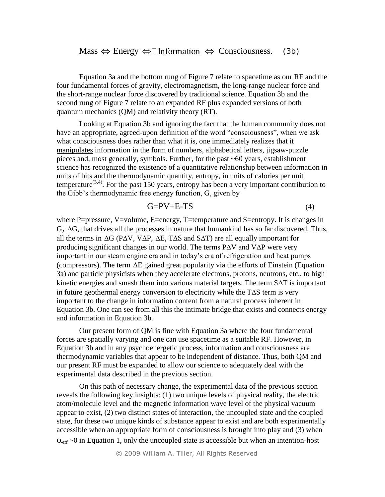Equation 3a and the bottom rung of Figure 7 relate to spacetime as our RF and the four fundamental forces of gravity, electromagnetism, the long-range nuclear force and the short-range nuclear force discovered by traditional science. Equation 3b and the second rung of Figure 7 relate to an expanded RF plus expanded versions of both quantum mechanics (QM) and relativity theory (RT).

Looking at Equation 3b and ignoring the fact that the human community does not have an appropriate, agreed-upon definition of the word "consciousness", when we ask what consciousness does rather than what it is, one immediately realizes that it manipulates information in the form of numbers, alphabetical letters, jigsaw-puzzle pieces and, most generally, symbols. Further, for the past ~60 years, establishment science has recognized the existence of a quantitative relationship between information in units of bits and the thermodynamic quantity, entropy, in units of calories per unit temperature<sup> $(3,4)$ </sup>. For the past 150 years, entropy has been a very important contribution to the Gibb's thermodynamic free energy function, G, given by

$$
G = PV + E - TS \tag{4}
$$

where P=pressure, V=volume, E=energy, T=temperature and S=entropy. It is changes in  $G$ ,  $\Delta G$ , that drives all the processes in nature that humankind has so far discovered. Thus, all the terms in  $\Delta G$  (P $\Delta V$ , V $\Delta P$ ,  $\Delta E$ , T $\Delta S$  and S $\Delta T$ ) are all equally important for producing significant changes in our world. The terms P $\Delta V$  and V $\Delta P$  were very important in our steam engine era and in today's era of refrigeration and heat pumps (compressors). The term  $\Delta E$  gained great popularity via the efforts of Einstein (Equation 3a) and particle physicists when they accelerate electrons, protons, neutrons, etc., to high kinetic energies and smash them into various material targets. The term  $SAT$  is important in future geothermal energy conversion to electricity while the  $T\Delta S$  term is very important to the change in information content from a natural process inherent in Equation 3b. One can see from all this the intimate bridge that exists and connects energy and information in Equation 3b.

Our present form of QM is fine with Equation 3a where the four fundamental forces are spatially varying and one can use spacetime as a suitable RF. However, in Equation 3b and in any psychoenergetic process, information and consciousness are thermodynamic variables that appear to be independent of distance. Thus, both QM and our present RF must be expanded to allow our science to adequately deal with the experimental data described in the previous section.

On this path of necessary change, the experimental data of the previous section reveals the following key insights: (1) two unique levels of physical reality, the electric atom/molecule level and the magnetic information wave level of the physical vacuum appear to exist, (2) two distinct states of interaction, the uncoupled state and the coupled state, for these two unique kinds of substance appear to exist and are both experimentally accessible when an appropriate form of consciousness is brought into play and (3) when  $\alpha_{\text{eff}}$  ~0 in Equation 1, only the uncoupled state is accessible but when an intention-host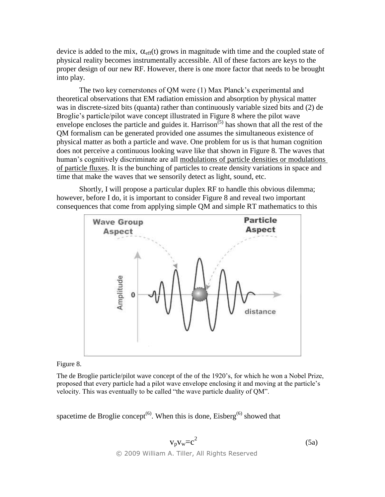device is added to the mix,  $\alpha_{\text{eff}}(t)$  grows in magnitude with time and the coupled state of physical reality becomes instrumentally accessible. All of these factors are keys to the proper design of our new RF. However, there is one more factor that needs to be brought into play.

The two key cornerstones of QM were (1) Max Planck's experimental and theoretical observations that EM radiation emission and absorption by physical matter was in discrete-sized bits (quanta) rather than continuously variable sized bits and (2) de Broglie's particle/pilot wave concept illustrated in Figure 8 where the pilot wave envelope encloses the particle and guides it. Harrison<sup> $(5)$ </sup> has shown that all the rest of the QM formalism can be generated provided one assumes the simultaneous existence of physical matter as both a particle and wave. One problem for us is that human cognition does not perceive a continuous looking wave like that shown in Figure 8. The waves that human's cognitively discriminate are all modulations of particle densities or modulations of particle fluxes. It is the bunching of particles to create density variations in space and time that make the waves that we sensorily detect as light, sound, etc.

Shortly, I will propose a particular duplex RF to handle this obvious dilemma; however, before I do, it is important to consider Figure 8 and reveal two important consequences that come from applying simple QM and simple RT mathematics to this



#### Figure 8.

The de Broglie particle/pilot wave concept of the of the 1920's, for which he won a Nobel Prize, proposed that every particle had a pilot wave envelope enclosing it and moving at the particle's velocity. This was eventually to be called "the wave particle duality of QM".

spacetime de Broglie concept<sup>(6)</sup>. When this is done, Eisberg<sup>(6)</sup> showed that

$$
v_p v_w = c^2
$$
 (5a)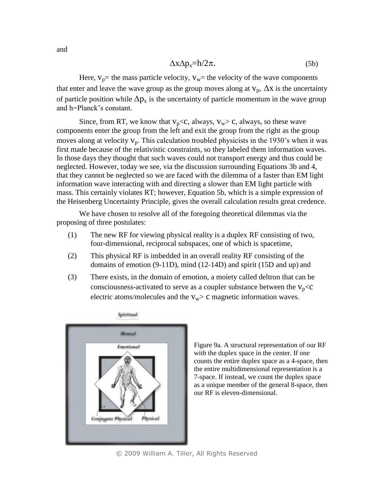$$
\Delta x \Delta p_x = h/2\pi. \tag{5b}
$$

Here,  $V_p$ = the mass particle velocity,  $V_w$ = the velocity of the wave components that enter and leave the wave group as the group moves along at  $v_p$ ,  $\Delta x$  is the uncertainty of particle position while  $\Delta p_x$  is the uncertainty of particle momentum in the wave group and h=Planck's constant.

Since, from RT, we know that  $v_p < c$ , always,  $v_w > c$ , always, so these wave components enter the group from the left and exit the group from the right as the group moves along at velocity  $v_p$ . This calculation troubled physicists in the 1930's when it was first made because of the relativistic constraints, so they labeled them information waves. In those days they thought that such waves could not transport energy and thus could be neglected. However, today we see, via the discussion surrounding Equations 3b and 4, that they cannot be neglected so we are faced with the dilemma of a faster than EM light information wave interacting with and directing a slower than EM light particle with mass. This certainly violates RT; however, Equation 5b, which is a simple expression of the Heisenberg Uncertainty Principle, gives the overall calculation results great credence.

We have chosen to resolve all of the foregoing theoretical dilemmas via the proposing of three postulates:

- (1) The new RF for viewing physical reality is a duplex RF consisting of two, four-dimensional, reciprocal subspaces, one of which is spacetime,
- (2) This physical RF is imbedded in an overall reality RF consisting of the domains of emotion (9-11D), mind (12-14D) and spirit (15D and up) and
- (3) There exists, in the domain of emotion, a moiety called deltron that can be consciousness-activated to serve as a coupler substance between the  $v_p < c$ electric atoms/molecules and the  $v_w$  c magnetic information waves.



Figure 9a. A structural representation of our RF with the duplex space in the center. If one counts the entire duplex space as a 4-space, then the entire multidimensional representation is a 7-space. If instead, we count the duplex space as a unique member of the general 8-space, then our RF is eleven-dimensional.

*©* 2009 William A. Tiller, All Rights Reserved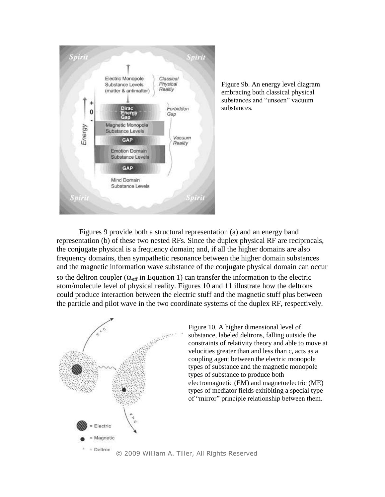

Figure 9b. An energy level diagram embracing both classical physical substances and "unseen" vacuum substances.

Figures 9 provide both a structural representation (a) and an energy band representation (b) of these two nested RFs. Since the duplex physical RF are reciprocals, the conjugate physical is a frequency domain; and, if all the higher domains are also frequency domains, then sympathetic resonance between the higher domain substances and the magnetic information wave substance of the conjugate physical domain can occur so the deltron coupler  $(\alpha_{\text{eff}})$  in Equation 1) can transfer the information to the electric atom/molecule level of physical reality. Figures 10 and 11 illustrate how the deltrons could produce interaction between the electric stuff and the magnetic stuff plus between the particle and pilot wave in the two coordinate systems of the duplex RF, respectively.



Figure 10. A higher dimensional level of substance, labeled deltrons, falling outside the constraints of relativity theory and able to move at velocities greater than and less than c, acts as a coupling agent between the electric monopole types of substance and the magnetic monopole types of substance to produce both electromagnetic (EM) and magnetoelectric (ME) types of mediator fields exhibiting a special type of "mirror" principle relationship between them.

*©* 2009 William A. Tiller, All Rights Reserved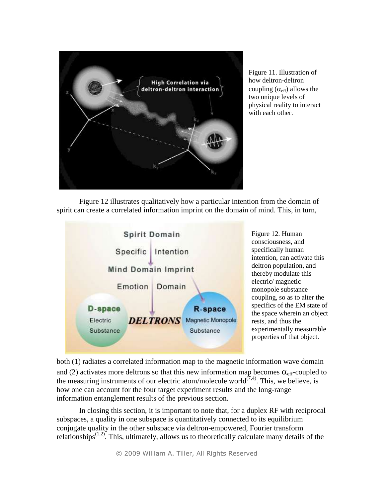

Figure 11. Illustration of how deltron-deltron coupling  $(\alpha_{\text{eff}})$  allows the two unique levels of physical reality to interact with each other.

Figure 12 illustrates qualitatively how a particular intention from the domain of spirit can create a correlated information imprint on the domain of mind. This, in turn,



Figure 12. Human consciousness, and specifically human intention, can activate this deltron population, and thereby modulate this electric/ magnetic monopole substance coupling, so as to alter the specifics of the EM state of the space wherein an object rests, and thus the experimentally measurable properties of that object.

both (1) radiates a correlated information map to the magnetic information wave domain and (2) activates more deltrons so that this new information map becomes  $\alpha_{\text{eff}}$ -coupled to the measuring instruments of our electric atom/molecule world<sup> $(7,4)$ </sup>. This, we believe, is how one can account for the four target experiment results and the long-range information entanglement results of the previous section.

In closing this section, it is important to note that, for a duplex RF with reciprocal subspaces, a quality in one subspace is quantitatively connected to its equilibrium conjugate quality in the other subspace via deltron-empowered, Fourier transform relationships<sup> $(1,2)$ </sup>. This, ultimately, allows us to theoretically calculate many details of the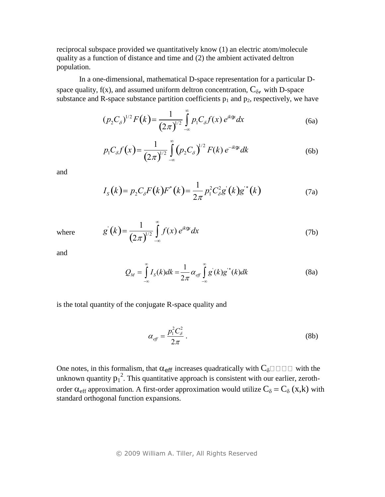reciprocal subspace provided we quantitatively know (1) an electric atom/molecule quality as a function of distance and time and (2) the ambient activated deltron population.

In a one-dimensional, mathematical D-space representation for a particular Dspace quality,  $f(x)$ , and assumed uniform deltron concentration,  $C_{\delta}$ , with D-space substance and R-space substance partition coefficients  $p_1$  and  $p_2$ , respectively, we have

$$
(p_2 C_\delta)^{1/2} F(k) = \frac{1}{(2\pi)^{1/2}} \int_{-\infty}^{\infty} p_1 C_\delta f(x) e^{ik\alpha} dx
$$
 (6a)

$$
p_1 C_{\delta} f(x) = \frac{1}{(2\pi)^{1/2}} \int_{-\infty}^{\infty} (p_2 C_{\delta})^{1/2} F(k) e^{-ik \mathfrak{B} t} dk
$$
 (6b)

and

$$
I_{S}(k) = p_{2}C_{\delta}F(k)F^{*}(k) = \frac{1}{2\pi}p_{1}^{2}C_{\delta}^{2}g^{*}(k)g^{*}(k)
$$
 (7a)

$$
g'(k) = \frac{1}{(2\pi)^{1/2}} \int_{-\infty}^{\infty} f(x) e^{ik \mathfrak{S}^k} dx
$$
 (7b)

and

where

$$
Q_M = \int_{-\infty}^{\infty} I_S(k)dk = \frac{1}{2\pi} \alpha_{\text{eff}} \int_{-\infty}^{\infty} g'(k)g^{*}(k)dk
$$
 (8a)

is the total quantity of the conjugate R-space quality and

$$
\alpha_{\text{eff}} = \frac{p_{\text{i}}^2 C_{\delta}^2}{2\pi} \,. \tag{8b}
$$

One notes, in this formalism, that  $\alpha_{\text{eff}}$  increases quadratically with  $C_{\delta}\square\square\square\square$  with the unknown quantity  $p_1^2$ . This quantitative approach is consistent with our earlier, zerothorder  $\alpha_{eff}$  approximation. A first-order approximation would utilize  $C_{\delta} = C_{\delta}$  (x,k) with standard orthogonal function expansions.